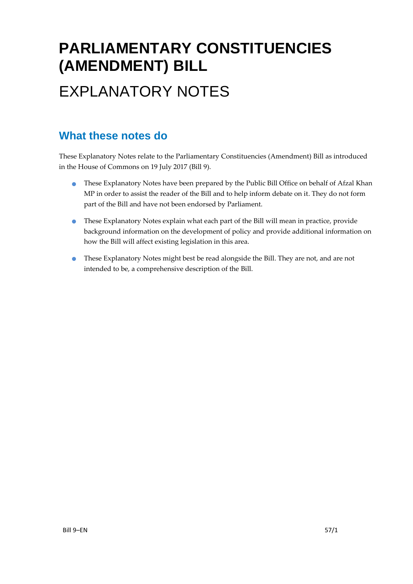# **PARLIAMENTARY CONSTITUENCIES (AMENDMENT) BILL** EXPLANATORY NOTES

### **What these notes do**

These Explanatory Notes relate to the Parliamentary Constituencies (Amendment) Bill as introduced in the House of Commons on 19 July 2017 (Bill 9).

- These Explanatory Notes have been prepared by the Public Bill Office on behalf of Afzal Khan MP in order to assist the reader of the Bill and to help inform debate on it. They do not form part of the Bill and have not been endorsed by Parliament.
- These Explanatory Notes explain what each part of the Bill will mean in practice, provide background information on the development of policy and provide additional information on how the Bill will affect existing legislation in this area.
- These Explanatory Notes might best be read alongside the Bill. They are not, and are not intended to be, a comprehensive description of the Bill.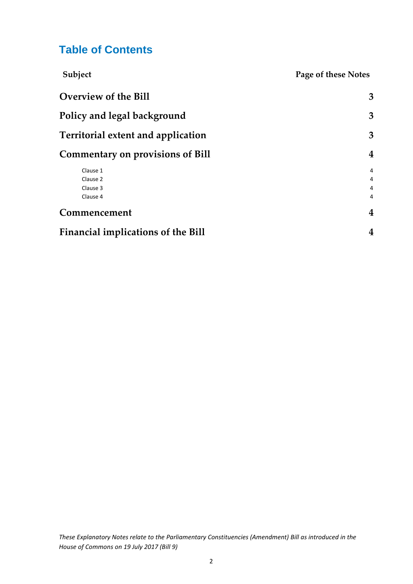## **Table of Contents**

| Subject                                   | Page of these Notes     |
|-------------------------------------------|-------------------------|
| <b>Overview of the Bill</b>               | 3                       |
| Policy and legal background               | 3                       |
| <b>Territorial extent and application</b> | 3                       |
| <b>Commentary on provisions of Bill</b>   | 4                       |
| Clause 1                                  | 4                       |
| Clause 2                                  | 4                       |
| Clause 3                                  | 4                       |
| Clause 4                                  | $\overline{4}$          |
| Commencement                              | 4                       |
| <b>Financial implications of the Bill</b> | $\overline{\mathbf{4}}$ |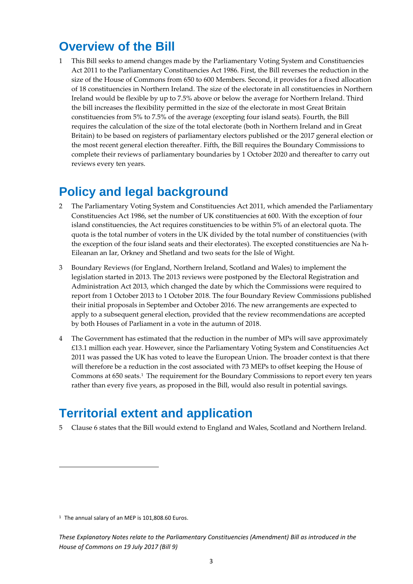# <span id="page-2-0"></span>**Overview of the Bill**

1 This Bill seeks to amend changes made by the Parliamentary Voting System and Constituencies Act 2011 to the Parliamentary Constituencies Act 1986. First, the Bill reverses the reduction in the size of the House of Commons from 650 to 600 Members. Second, it provides for a fixed allocation of 18 constituencies in Northern Ireland. The size of the electorate in all constituencies in Northern Ireland would be flexible by up to 7.5% above or below the average for Northern Ireland. Third the bill increases the flexibility permitted in the size of the electorate in most Great Britain constituencies from 5% to 7.5% of the average (excepting four island seats). Fourth, the Bill requires the calculation of the size of the total electorate (both in Northern Ireland and in Great Britain) to be based on registers of parliamentary electors published or the 2017 general election or the most recent general election thereafter. Fifth, the Bill requires the Boundary Commissions to complete their reviews of parliamentary boundaries by 1 October 2020 and thereafter to carry out reviews every ten years.

# <span id="page-2-1"></span>**Policy and legal background**

- 2 The Parliamentary Voting System and Constituencies Act 2011, which amended the Parliamentary Constituencies Act 1986, set the number of UK constituencies at 600. With the exception of four island constituencies, the Act requires constituencies to be within 5% of an electoral quota. The quota is the total number of voters in the UK divided by the total number of constituencies (with the exception of the four island seats and their electorates). The excepted constituencies are Na h-Eileanan an Iar, Orkney and Shetland and two seats for the Isle of Wight.
- 3 Boundary Reviews (for England, Northern Ireland, Scotland and Wales) to implement the legislation started in 2013. The 2013 reviews were postponed by the Electoral Registration and Administration Act 2013, which changed the date by which the Commissions were required to report from 1 October 2013 to 1 October 2018. The four Boundary Review Commissions published their initial proposals in September and October 2016. The new arrangements are expected to apply to a subsequent general election, provided that the review recommendations are accepted by both Houses of Parliament in a vote in the autumn of 2018.
- 4 The Government has estimated that the reduction in the number of MPs will save approximately £13.1 million each year. However, since the Parliamentary Voting System and Constituencies Act 2011 was passed the UK has voted to leave the European Union. The broader context is that there will therefore be a reduction in the cost associated with 73 MEPs to offset keeping the House of Commons at 650 seats.<sup>1</sup> The requirement for the Boundary Commissions to report every ten years rather than every five years, as proposed in the Bill, would also result in potential savings.

# <span id="page-2-2"></span>**Territorial extent and application**

5 Clause 6 states that the Bill would extend to England and Wales, Scotland and Northern Ireland.

 $\overline{a}$ 

<sup>&</sup>lt;sup>1</sup> The annual salary of an MEP is 101,808.60 Euros.

*These Explanatory Notes relate to the Parliamentary Constituencies (Amendment) Bill as introduced in the House of Commons on 19 July 2017 (Bill 9)*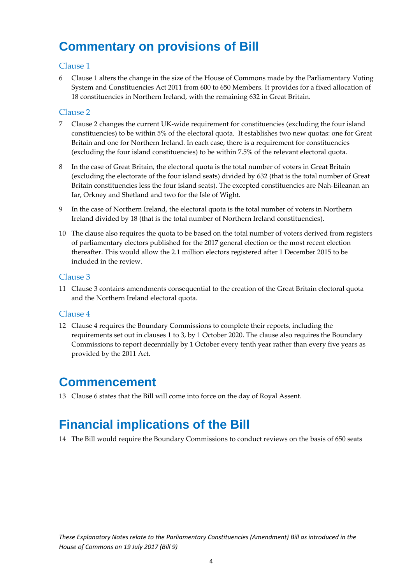# <span id="page-3-0"></span>**Commentary on provisions of Bill**

#### <span id="page-3-1"></span>Clause 1

6 Clause 1 alters the change in the size of the House of Commons made by the Parliamentary Voting System and Constituencies Act 2011 from 600 to 650 Members. It provides for a fixed allocation of 18 constituencies in Northern Ireland, with the remaining 632 in Great Britain.

#### <span id="page-3-2"></span>Clause 2

- 7 Clause 2 changes the current UK-wide requirement for constituencies (excluding the four island constituencies) to be within 5% of the electoral quota. It establishes two new quotas: one for Great Britain and one for Northern Ireland. In each case, there is a requirement for constituencies (excluding the four island constituencies) to be within 7.5% of the relevant electoral quota.
- 8 In the case of Great Britain, the electoral quota is the total number of voters in Great Britain (excluding the electorate of the four island seats) divided by 632 (that is the total number of Great Britain constituencies less the four island seats). The excepted constituencies are Nah‐Eileanan an Iar, Orkney and Shetland and two for the Isle of Wight.
- 9 In the case of Northern Ireland, the electoral quota is the total number of voters in Northern Ireland divided by 18 (that is the total number of Northern Ireland constituencies).
- 10 The clause also requires the quota to be based on the total number of voters derived from registers of parliamentary electors published for the 2017 general election or the most recent election thereafter. This would allow the 2.1 million electors registered after 1 December 2015 to be included in the review.

#### <span id="page-3-3"></span>Clause 3

11 Clause 3 contains amendments consequential to the creation of the Great Britain electoral quota and the Northern Ireland electoral quota.

#### <span id="page-3-4"></span>Clause 4

12 Clause 4 requires the Boundary Commissions to complete their reports, including the requirements set out in clauses 1 to 3, by 1 October 2020. The clause also requires the Boundary Commissions to report decennially by 1 October every tenth year rather than every five years as provided by the 2011 Act.

### <span id="page-3-5"></span>**Commencement**

13 Clause 6 states that the Bill will come into force on the day of Royal Assent.

# <span id="page-3-6"></span>**Financial implications of the Bill**

14 The Bill would require the Boundary Commissions to conduct reviews on the basis of 650 seats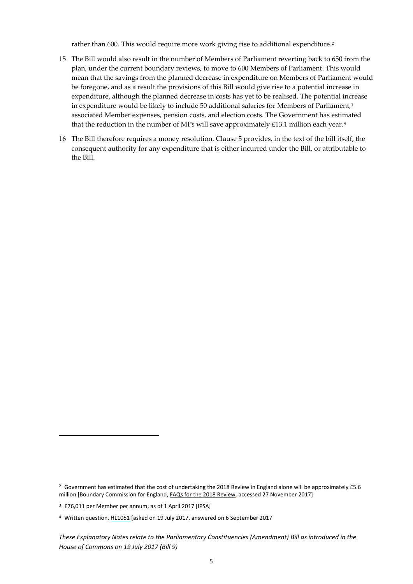rather than 600. This would require more work giving rise to additional expenditure. 2

- 15 The Bill would also result in the number of Members of Parliament reverting back to 650 from the plan, under the current boundary reviews, to move to 600 Members of Parliament. This would mean that the savings from the planned decrease in expenditure on Members of Parliament would be foregone, and as a result the provisions of this Bill would give rise to a potential increase in expenditure, although the planned decrease in costs has yet to be realised. The potential increase in expenditure would be likely to include 50 additional salaries for Members of Parliament, $3$ associated Member expenses, pension costs, and election costs. The Government has estimated that the reduction in the number of MPs will save approximately  $£13.1$  million each year.<sup>4</sup>
- 16 The Bill therefore requires a money resolution. Clause 5 provides, in the text of the bill itself, the consequent authority for any expenditure that is either incurred under the Bill, or attributable to the Bill.

1

<sup>&</sup>lt;sup>2</sup> Government has estimated that the cost of undertaking the 2018 Review in England alone will be approximately £5.6 million [Boundary Commission for England, [FAQs for the 2018 Review,](https://boundarycommissionforengland.independent.gov.uk/faqs-for-the-2018-review/) accessed 27 November 2017]

<sup>3</sup> £76,011 per Member per annum, as of 1 April 2017 [IPSA]

<sup>4</sup> Written question, [HL1051](http://www.parliament.uk/written-questions-answers-statements/written-question/lords/2017-07-19/HL1051) [asked on 19 July 2017, answered on 6 September 2017

*These Explanatory Notes relate to the Parliamentary Constituencies (Amendment) Bill as introduced in the House of Commons on 19 July 2017 (Bill 9)*